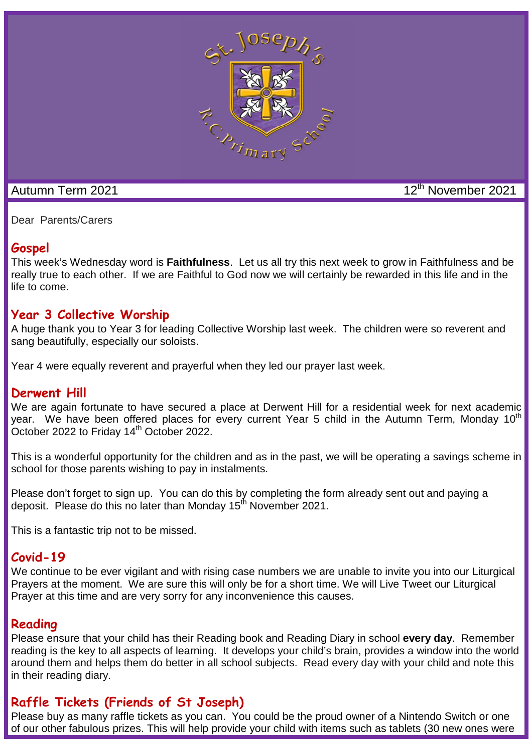

## Autumn Term 2021 12<sup>th</sup> November 2021

Dear Parents/Carers

## **Gospel**

This week's Wednesday word is **Faithfulness**. Let us all try this next week to grow in Faithfulness and be really true to each other. If we are Faithful to God now we will certainly be rewarded in this life and in the life to come.

#### **Year 3 Collective Worship**

A huge thank you to Year 3 for leading Collective Worship last week. The children were so reverent and sang beautifully, especially our soloists.

Year 4 were equally reverent and prayerful when they led our prayer last week.

## **Derwent Hill**

We are again fortunate to have secured a place at Derwent Hill for a residential week for next academic year. We have been offered places for every current Year 5 child in the Autumn Term, Monday 10<sup>th</sup> October 2022 to Friday  $14<sup>th</sup>$  October 2022.

This is a wonderful opportunity for the children and as in the past, we will be operating a savings scheme in school for those parents wishing to pay in instalments.

Please don't forget to sign up. You can do this by completing the form already sent out and paying a deposit. Please do this no later than Monday 15<sup>th</sup> November 2021.

This is a fantastic trip not to be missed.

## **Covid-19**

We continue to be ever vigilant and with rising case numbers we are unable to invite you into our Liturgical Prayers at the moment. We are sure this will only be for a short time. We will Live Tweet our Liturgical Prayer at this time and are very sorry for any inconvenience this causes.

## **Reading**

Please ensure that your child has their Reading book and Reading Diary in school **every day**. Remember reading is the key to all aspects of learning. It develops your child's brain, provides a window into the world around them and helps them do better in all school subjects. Read every day with your child and note this in their reading diary.

# **Raffle Tickets (Friends of St Joseph)**

Please buy as many raffle tickets as you can. You could be the proud owner of a Nintendo Switch or one of our other fabulous prizes. This will help provide your child with items such as tablets (30 new ones were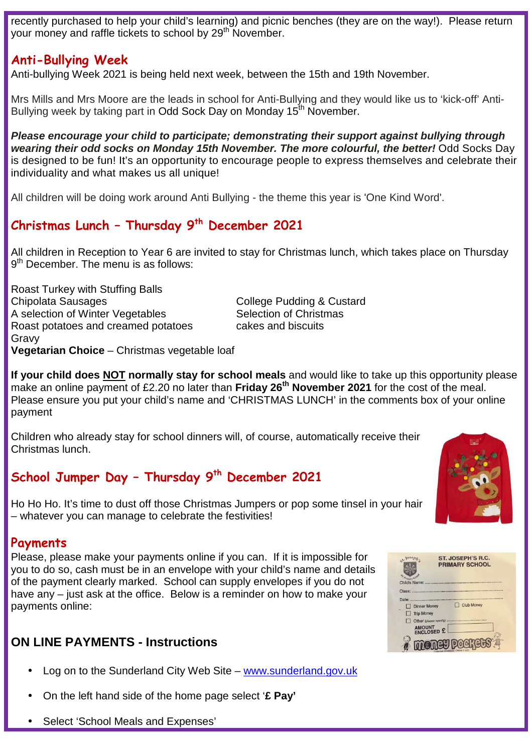recently purchased to help your child's learning) and picnic benches (they are on the way!). Please return your money and raffle tickets to school by 29<sup>th</sup> November.

## **Anti-Bullying Week**

Anti-bullying Week 2021 is being held next week, between the 15th and 19th November.

Mrs Mills and Mrs Moore are the leads in school for Anti-Bullying and they would like us to 'kick-off' Anti-Bullying week by taking part in Odd Sock Day on Monday 15<sup>th</sup> November.

**Please encourage your child to participate; demonstrating their support against bullying through wearing their odd socks on Monday 15th November. The more colourful, the better!** Odd Socks Day is designed to be fun! It's an opportunity to encourage people to express themselves and celebrate their individuality and what makes us all unique!

All children will be doing work around Anti Bullying - the theme this year is 'One Kind Word'.

## **Christmas Lunch – Thursday 9th December 2021**

All children in Reception to Year 6 are invited to stay for Christmas lunch, which takes place on Thursday 9<sup>th</sup> December. The menu is as follows:

Roast Turkey with Stuffing Balls Chipolata Sausages Chipolata Sausages College Pudding & Custard A selection of Winter Vegetables Selection of Christmas Roast potatoes and creamed potatoes cakes and biscuits Gravy **Vegetarian Choice** – Christmas vegetable loaf

**If your child does NOT normally stay for school meals** and would like to take up this opportunity please make an online payment of £2.20 no later than **Friday 26th November 2021** for the cost of the meal. Please ensure you put your child's name and 'CHRISTMAS LUNCH' in the comments box of your online payment

Children who already stay for school dinners will, of course, automatically receive their Christmas lunch.

# **School Jumper Day – Thursday 9th December 2021**

Ho Ho Ho. It's time to dust off those Christmas Jumpers or pop some tinsel in your hair – whatever you can manage to celebrate the festivities!

#### **Payments**

Please, please make your payments online if you can. If it is impossible for you to do so, cash must be in an envelope with your child's name and details of the payment clearly marked. School can supply envelopes if you do not have any – just ask at the office. Below is a reminder on how to make your payments online:

## **ON LINE PAYMENTS - Instructions**

- Log on to the Sunderland City Web Site www.sunderland.gov.uk
- On the left hand side of the home page select '**£ Pay'**
- Select 'School Meals and Expenses'



| $5^{1.505}$                          | <b>ST. JOSEPH'S R.C.</b>          |
|--------------------------------------|-----------------------------------|
|                                      | <b>PRIMARY SCHOOL</b>             |
| <b>Imary School</b><br>Child's Name: |                                   |
|                                      |                                   |
| Class:                               |                                   |
| Date:                                |                                   |
|                                      | Club Money<br><b>Dinner Money</b> |
|                                      | Trip Money                        |
|                                      | Other (please specify)            |
|                                      | <b>AMOUNT</b>                     |
|                                      | <b>ENCLOSED £</b>                 |
|                                      |                                   |
|                                      |                                   |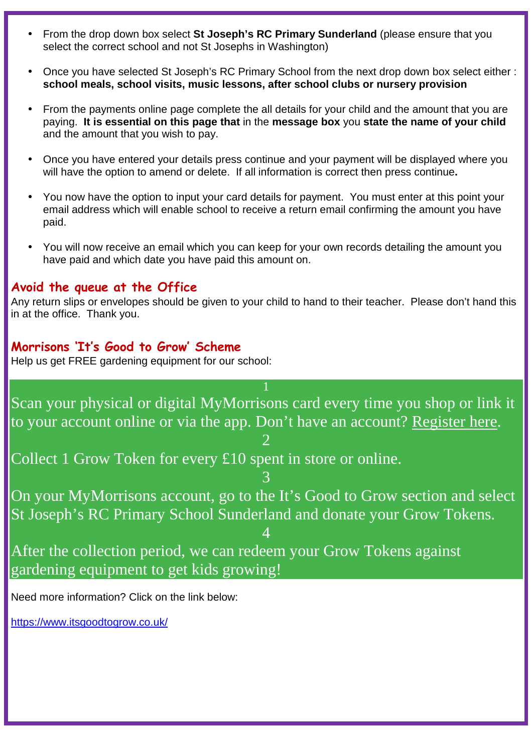- From the drop down box select **St Joseph's RC Primary Sunderland** (please ensure that you select the correct school and not St Josephs in Washington)
- Once you have selected St Joseph's RC Primary School from the next drop down box select either : **school meals, school visits, music lessons, after school clubs or nursery provision**
- From the payments online page complete the all details for your child and the amount that you are paying. **It is essential on this page that** in the **message box** you **state the name of your child** and the amount that you wish to pay.
- Once you have entered your details press continue and your payment will be displayed where you will have the option to amend or delete. If all information is correct then press continue**.**
- You now have the option to input your card details for payment. You must enter at this point your email address which will enable school to receive a return email confirming the amount you have paid.
- You will now receive an email which you can keep for your own records detailing the amount you have paid and which date you have paid this amount on.

#### **Avoid the queue at the Office**

Any return slips or envelopes should be given to your child to hand to their teacher. Please don't hand this in at the office. Thank you.

#### **Morrisons 'It's Good to Grow' Scheme**

Help us get FREE gardening equipment for our school:

Scan your physical or digital MyMorrisons card every time you shop or link it to your account online or via the app. Don't have an account? Register here. 2

Collect 1 Grow Token for every £10 spent in store or online.

3 On your MyMorrisons account, go to the It's Good to Grow section and select St Joseph's RC Primary School Sunderland and donate your Grow Tokens.

4

After the collection period, we can redeem your Grow Tokens against gardening equipment to get kids growing!

Need more information? Click on the link below:

https://www.itsgoodtogrow.co.uk/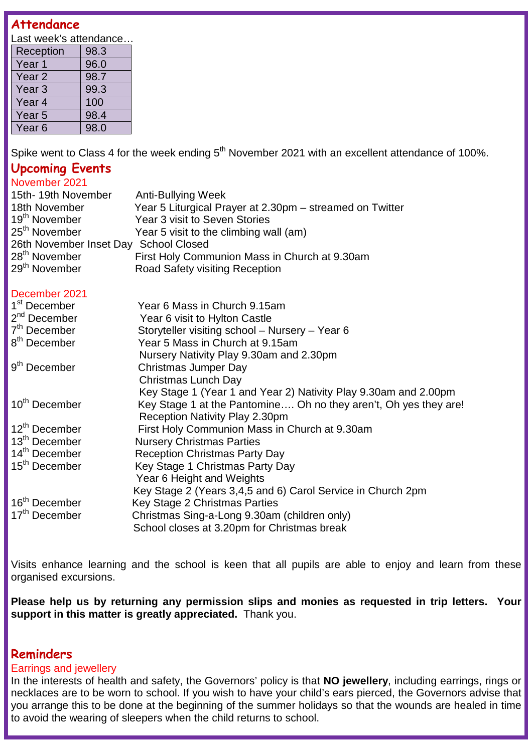## **Attendance**

Last week's attendance...

| Reception         | 98.3 |
|-------------------|------|
| Year 1            | 96.0 |
| Year <sub>2</sub> | 98.7 |
| Year <sub>3</sub> | 99.3 |
| Year 4            | 100  |
| Year <sub>5</sub> | 98.4 |
| Year 6            | 98.0 |

Spike went to Class 4 for the week ending  $5<sup>th</sup>$  November 2021 with an excellent attendance of 100%.

#### **Upcoming Events**

| November 2021                                   |                                                          |  |  |
|-------------------------------------------------|----------------------------------------------------------|--|--|
| 15th-19th November                              | <b>Anti-Bullying Week</b>                                |  |  |
| 18th November                                   | Year 5 Liturgical Prayer at 2.30pm – streamed on Twitter |  |  |
| 19 <sup>th</sup> November                       | Year 3 visit to Seven Stories                            |  |  |
| 25 <sup>th</sup> November                       | Year 5 visit to the climbing wall (am)                   |  |  |
| <b>School Closed</b><br>26th November Inset Day |                                                          |  |  |
| 28 <sup>th</sup> November                       | First Holy Communion Mass in Church at 9.30am            |  |  |
| 29 <sup>th</sup> November                       | <b>Road Safety visiting Reception</b>                    |  |  |

#### December 2021

| ו שטטיוווטאט              |                                                                  |
|---------------------------|------------------------------------------------------------------|
| 1 <sup>st</sup> December  | Year 6 Mass in Church 9.15am                                     |
| $2nd$ December            | Year 6 visit to Hylton Castle                                    |
| 7 <sup>th</sup> December  | Storyteller visiting school - Nursery - Year 6                   |
| 8 <sup>th</sup> December  | Year 5 Mass in Church at 9.15am                                  |
|                           | Nursery Nativity Play 9.30am and 2.30pm                          |
| 9 <sup>th</sup> December  | <b>Christmas Jumper Day</b>                                      |
|                           | <b>Christmas Lunch Day</b>                                       |
|                           | Key Stage 1 (Year 1 and Year 2) Nativity Play 9.30am and 2.00pm  |
| 10 <sup>th</sup> December | Key Stage 1 at the Pantomine Oh no they aren't, Oh yes they are! |
|                           | Reception Nativity Play 2.30pm                                   |
| 12 <sup>th</sup> December | First Holy Communion Mass in Church at 9.30am                    |
| 13 <sup>th</sup> December | <b>Nursery Christmas Parties</b>                                 |
| 14 <sup>th</sup> December | <b>Reception Christmas Party Day</b>                             |
| 15 <sup>th</sup> December | Key Stage 1 Christmas Party Day                                  |
|                           | Year 6 Height and Weights                                        |
|                           | Key Stage 2 (Years 3,4,5 and 6) Carol Service in Church 2pm      |
| 16 <sup>th</sup> December | Key Stage 2 Christmas Parties                                    |
| 17 <sup>th</sup> December | Christmas Sing-a-Long 9.30am (children only)                     |
|                           | School closes at 3.20pm for Christmas break                      |

Visits enhance learning and the school is keen that all pupils are able to enjoy and learn from these organised excursions.

**Please help us by returning any permission slips and monies as requested in trip letters. Your support in this matter is greatly appreciated.** Thank you.

#### **Reminders**

#### Earrings and jewellery

In the interests of health and safety, the Governors' policy is that **NO jewellery**, including earrings, rings or necklaces are to be worn to school. If you wish to have your child's ears pierced, the Governors advise that you arrange this to be done at the beginning of the summer holidays so that the wounds are healed in time to avoid the wearing of sleepers when the child returns to school.